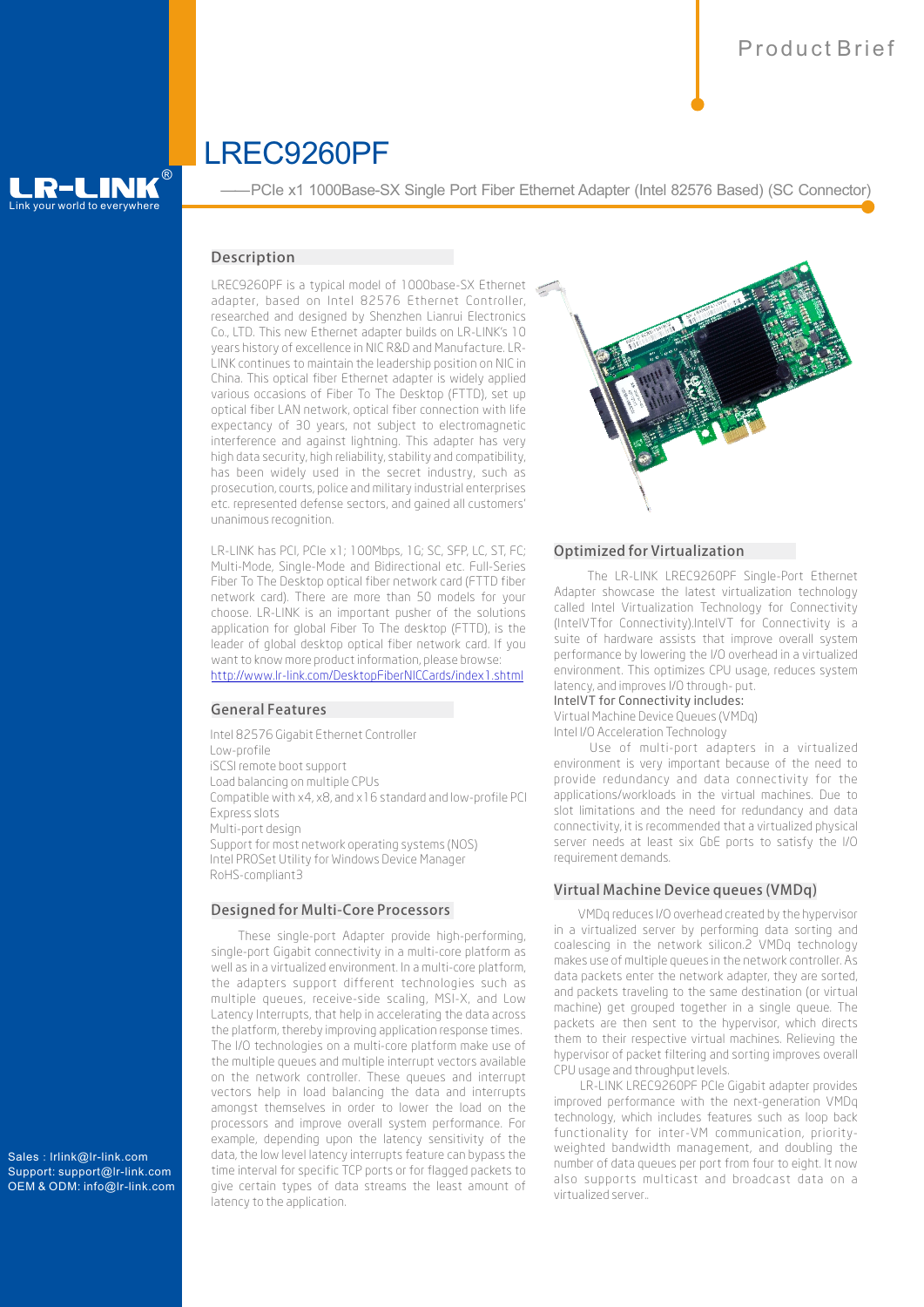# LREC9260PF

# $\overline{L}$  world to everywhere R-LINK®

——PCIe x1 1000Base-SX Single Port Fiber Ethernet Adapter (Intel 82576 Based) (SC Connector)

# Description

LREC9260PF is a typical model of 1000base-SX Ethernet adapter, based on Intel 82576 Ethernet Controller, researched and designed by Shenzhen Lianrui Electronics Co., LTD. This new Ethernet adapter builds on LR-LINK's 10 years history of excellence in NIC R&D and Manufacture. LR-LINK continues to maintain the leadership position on NIC in China. This optical fiber Ethernet adapter is widely applied various occasions of Fiber To The Desktop (FTTD), set up optical fiber LAN network, optical fiber connection with life expectancy of 30 years, not subject to electromagnetic interference and against lightning. This adapter has very high data security, high reliability, stability and compatibility, has been widely used in the secret industry, such as prosecution, courts, police and military industrial enterprises etc. represented defense sectors, and gained all customers' unanimous recognition.

LR-LINK has PCI, PCIe x1; 100Mbps, 1G; SC, SFP, LC, ST, FC; Multi-Mode, Single-Mode and Bidirectional etc. Full-Series Fiber To The Desktop optical fiber network card (FTTD fiber network card). There are more than 50 models for your choose. LR-LINK is an important pusher of the solutions application for global Fiber To The desktop (FTTD), is the leader of global desktop optical fiber network card. If you want to know more product information, please browse: <http://www.lr-link.com/DesktopFiberNICCards/index1.shtml>

# GeneralFeatures

Intel 82576 Gigabit Ethernet Controller Low-profile iSCSI remote boot support Load balancing on multiple CPUs Compatible with x4, x8, and x16 standard and low-profile PCI Express slots Multi-port design Support for most network operating systems (NOS) Intel PROSet Utility for Windows Device Manager RoHS-compliant3

#### Designed for Multi-Core Processors

These single-port Adapter provide high-performing, single-port Gigabit connectivity in a multi-core platform as well as in a virtualized environment. In a multi-core platform, the adapters support different technologies such as multiple queues, receive-side scaling, MSI-X, and Low Latency Interrupts, that help in accelerating the data across the platform, thereby improving application response times. The I/O technologies on a multi-core platform make use of the multiple queues and multiple interrupt vectors available on the network controller. These queues and interrupt vectors help in load balancing the data and interrupts amongst themselves in order to lower the load on the processors and improve overall system performance. For example, depending upon the latency sensitivity of the data, the low level latency interrupts feature can bypass the time interval for specific TCP ports or for flagged packets to give certain types of data streams the least amount of latency to the application.



### Optimized for Virtualization

The LR-LINK LREC9260PF Single-Port Ethernet Adapter showcase the latest virtualization technology called Intel Virtualization Technology for Connectivity (IntelVTfor Connectivity).IntelVT for Connectivity is a suite of hardware assists that improve overall system performance by lowering the I/O overhead in a virtualized environment. This optimizes CPU usage, reduces system latency, and improves I/O through- put.

#### IntelVT for Connectivity includes:

Virtual Machine Device Queues (VMDq) Intel I/O Acceleration Technology

Use of multi-port adapters in a virtualized environment is very important because of the need to provide redundancy and data connectivity for the applications/workloads in the virtual machines. Due to slot limitations and the need for redundancy and data connectivity, it is recommended that a virtualized physical server needs at least six GbE ports to satisfy the I/O requirement demands.

# Virtual Machine Device queues (VMDq)

 VMDq reduces I/O overhead created by the hypervisor in a virtualized server by performing data sorting and coalescing in the network silicon.2 VMDq technology makes use of multiple queues in the network controller. As data packets enter the network adapter, they are sorted, and packets traveling to the same destination (or virtual machine) get grouped together in a single queue. The packets are then sent to the hypervisor, which directs them to their respective virtual machines. Relieving the hypervisor of packet filtering and sorting improves overall CPU usage and throughput levels.

LR-LINK LREC9260PF PCIe Gigabit adapter provides improved performance with the next-generation VMDq technology, which includes features such as loop back functionality for inter-VM communication, priorityweighted bandwidth management, and doubling the number of data queues per port from four to eight. It now also supports multicast and broadcast data on a virtualized server..

Sales: lrlink@lr-link.com Support: support@lr-link.com OEM & ODM: info@lr-link.com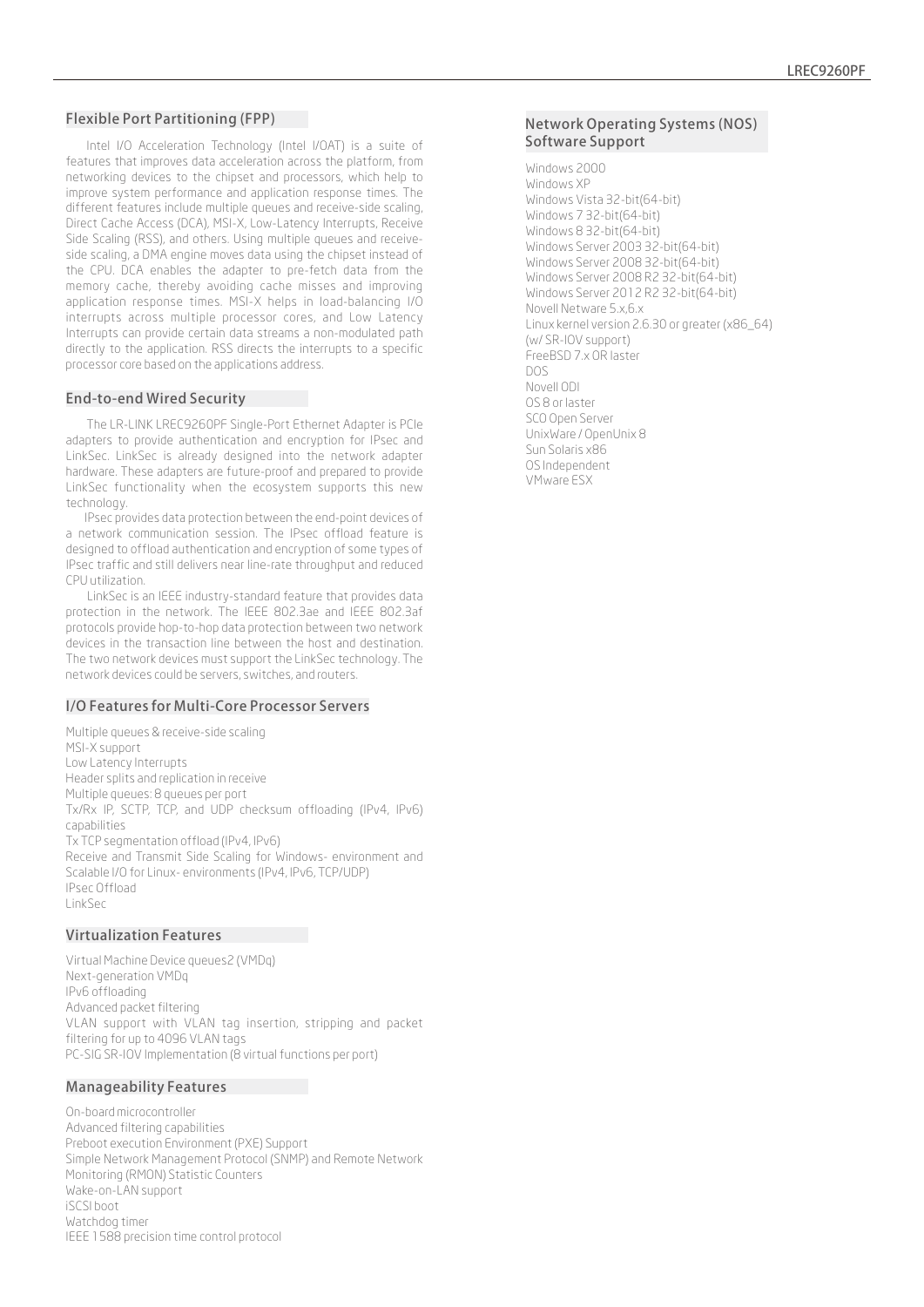# Flexible Port Partitioning (FPP)

Intel I/O Acceleration Technology (Intel I/OAT) is a suite of features that improves data acceleration across the platform, from networking devices to the chipset and processors, which help to improve system performance and application response times. The different features include multiple queues and receive-side scaling, Direct Cache Access (DCA), MSI-X, Low-Latency Interrupts, Receive Side Scaling (RSS), and others. Using multiple queues and receiveside scaling, a DMA engine moves data using the chipset instead of the CPU. DCA enables the adapter to pre-fetch data from the memory cache, thereby avoiding cache misses and improving application response times. MSI-X helps in load-balancing I/O interrupts across multiple processor cores, and Low Latency Interrupts can provide certain data streams a non-modulated path directly to the application. RSS directs the interrupts to a specific processor core based on the applications address.

## **End-to-end Wired Security**

The LR-LINK LREC9260PF Single-Port Ethernet Adapter is PCIe adapters to provide authentication and encryption for IPsec and LinkSec. LinkSec is already designed into the network adapter hardware. These adapters are future-proof and prepared to provide LinkSec functionality when the ecosystem supports this new technology.

 IPsec provides data protection between the end-point devices of a network communication session. The IPsec offload feature is designed to offload authentication and encryption of some types of IPsec traffic and still delivers near line-rate throughput and reduced CPU utilization.

LinkSec is an IEEE industry-standard feature that provides data protection in the network. The IEEE 802.3ae and IEEE 802.3af protocols provide hop-to-hop data protection between two network devices in the transaction line between the host and destination. The two network devices must support the LinkSec technology. The network devices could be servers, switches, and routers.

## I/O Features for Multi-Core Processor Servers

Multiple queues & receive-side scaling MSI-X support Low Latency Interrupts Header splits and replication in receive Multiple queues: 8 queues per port Tx/Rx IP, SCTP, TCP, and UDP checksum offloading (IPv4, IPv6) capabilities Tx TCP segmentation offload (IPv4, IPv6) Receive and Transmit Side Scaling for Windows- environment and Scalable I/O for Linux- environments (IPv4, IPv6, TCP/UDP) IPsec Offload LinkSec

### **Virtualization Features**

Virtual Machine Device queues2 (VMDq) Next-generation VMDq IPv6 offloading Advanced packet filtering VLAN support with VLAN tag insertion, stripping and packet filtering for up to 4096 VLAN tags PC-SIG SR-IOV Implementation (8 virtual functions per port)

#### Manageability Features

On-board microcontroller Advanced filtering capabilities Preboot execution Environment (PXE) Support Simple Network Management Protocol (SNMP) and Remote Network Monitoring (RMON) Statistic Counters Wake-on-LAN support iSCSI boot Watchdog timer IEEE 1588 precision time control protocol

## Network Operating Systems (NOS) Software Support

Windows 2000 Windows XP Windows Vista 32-bit(64-bit) Windows 7 32-bit(64-bit) Windows 8 32-bit(64-bit) Windows Server 2003 32-bit(64-bit) Windows Server 2008 32-bit(64-bit) Windows Server 2008 R2 32-bit(64-bit) Windows Server 2012 R2 32-bit(64-bit) Novell Netware 5.x,6.x Linux kernel version 2.6.30 or greater (x86\_64) (w/ SR-IOV support) FreeBSD 7.x OR laster DOS Novell ODI OS 8 or laster SCO Open Server UnixWare / OpenUnix 8 Sun Solaris x86 OS Independent VMware ESX